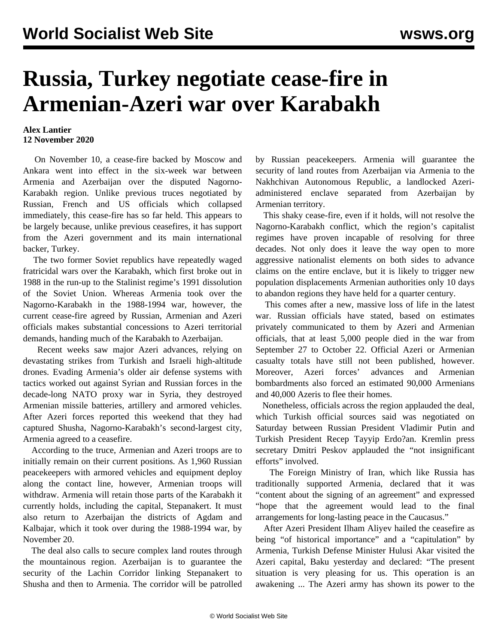## **Russia, Turkey negotiate cease-fire in Armenian-Azeri war over Karabakh**

## **Alex Lantier 12 November 2020**

 On November 10, a cease-fire backed by Moscow and Ankara went into effect in the six-week war between Armenia and Azerbaijan over the disputed Nagorno-Karabakh region. Unlike previous truces negotiated by Russian, French and US officials which collapsed immediately, this cease-fire has so far held. This appears to be largely because, unlike previous ceasefires, it has support from the Azeri government and its main international backer, Turkey.

 The two former Soviet republics have repeatedly waged fratricidal wars over the Karabakh, which first broke out in 1988 in the run-up to the Stalinist regime's 1991 dissolution of the Soviet Union. Whereas Armenia took over the Nagorno-Karabakh in the 1988-1994 war, however, the current cease-fire agreed by Russian, Armenian and Azeri officials makes substantial concessions to Azeri territorial demands, handing much of the Karabakh to Azerbaijan.

 Recent weeks saw major Azeri advances, relying on devastating strikes from Turkish and Israeli high-altitude drones. Evading Armenia's older air defense systems with tactics worked out against Syrian and Russian forces in the decade-long NATO proxy war in Syria, they destroyed Armenian missile batteries, artillery and armored vehicles. After Azeri forces reported this weekend that they had captured Shusha, Nagorno-Karabakh's second-largest city, Armenia agreed to a ceasefire.

 According to the truce, Armenian and Azeri troops are to initially remain on their current positions. As 1,960 Russian peacekeepers with armored vehicles and equipment deploy along the contact line, however, Armenian troops will withdraw. Armenia will retain those parts of the Karabakh it currently holds, including the capital, Stepanakert. It must also return to Azerbaijan the districts of Agdam and Kalbajar, which it took over during the 1988-1994 war, by November 20.

 The deal also calls to secure complex land routes through the mountainous region. Azerbaijan is to guarantee the security of the Lachin Corridor linking Stepanakert to Shusha and then to Armenia. The corridor will be patrolled by Russian peacekeepers. Armenia will guarantee the security of land routes from Azerbaijan via Armenia to the Nakhchivan Autonomous Republic, a landlocked Azeriadministered enclave separated from Azerbaijan by Armenian territory.

 This shaky cease-fire, even if it holds, will not resolve the Nagorno-Karabakh conflict, which the region's capitalist regimes have proven incapable of resolving for three decades. Not only does it leave the way open to more aggressive nationalist elements on both sides to advance claims on the entire enclave, but it is likely to trigger new population displacements Armenian authorities only 10 days to abandon regions they have held for a quarter century.

 This comes after a new, massive loss of life in the latest war. Russian officials have stated, based on estimates privately communicated to them by Azeri and Armenian officials, that at least 5,000 people died in the war from September 27 to October 22. Official Azeri or Armenian casualty totals have still not been published, however. Moreover, Azeri forces' advances and Armenian bombardments also forced an estimated 90,000 Armenians and 40,000 Azeris to flee their homes.

 Nonetheless, officials across the region applauded the deal, which Turkish official sources said was negotiated on Saturday between Russian President Vladimir Putin and Turkish President Recep Tayyip Erdo?an. Kremlin press secretary Dmitri Peskov applauded the "not insignificant efforts" involved.

 The Foreign Ministry of Iran, which like Russia has traditionally supported Armenia, declared that it was "content about the signing of an agreement" and expressed "hope that the agreement would lead to the final arrangements for long-lasting peace in the Caucasus."

 After Azeri President Ilham Aliyev hailed the ceasefire as being "of historical importance" and a "capitulation" by Armenia, Turkish Defense Minister Hulusi Akar visited the Azeri capital, Baku yesterday and declared: "The present situation is very pleasing for us. This operation is an awakening ... The Azeri army has shown its power to the